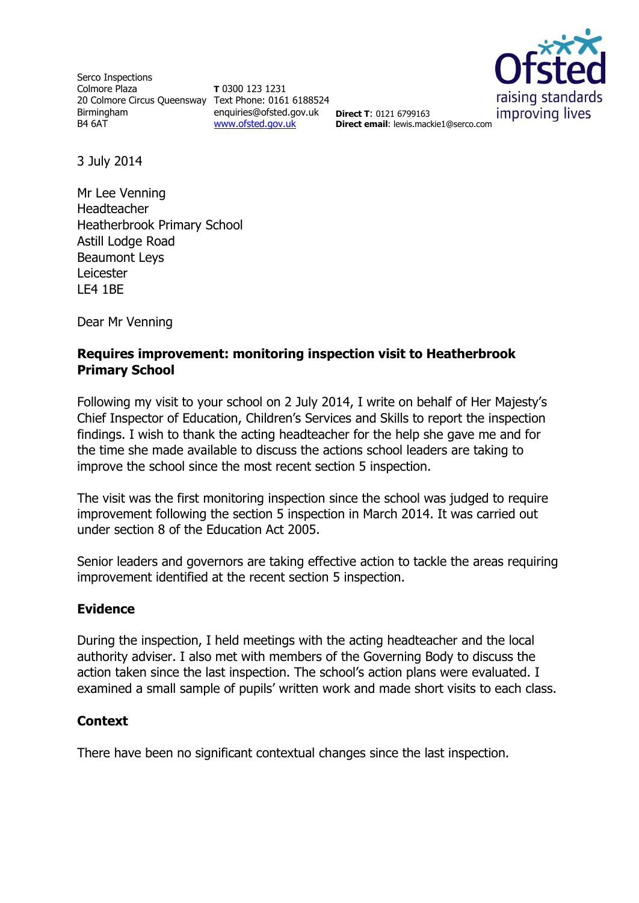Serco Inspections Colmore Plaza 20 Colmore Circus Queensway Text Phone: 0161 6188524 Birmingham B4 6AT

**T** 0300 123 1231 enquiries@ofsted.gov.uk **Direct T**: 0121 6799163 [www.ofsted.gov.uk](http://www.ofsted.gov.uk/)



**Direct email**: lewis.mackie1@serco.com

3 July 2014

Mr Lee Venning Headteacher Heatherbrook Primary School Astill Lodge Road Beaumont Leys Leicester LE4 1BE

Dear Mr Venning

# **Requires improvement: monitoring inspection visit to Heatherbrook Primary School**

Following my visit to your school on 2 July 2014, I write on behalf of Her Majesty's Chief Inspector of Education, Children's Services and Skills to report the inspection findings. I wish to thank the acting headteacher for the help she gave me and for the time she made available to discuss the actions school leaders are taking to improve the school since the most recent section 5 inspection.

The visit was the first monitoring inspection since the school was judged to require improvement following the section 5 inspection in March 2014. It was carried out under section 8 of the Education Act 2005.

Senior leaders and governors are taking effective action to tackle the areas requiring improvement identified at the recent section 5 inspection.

## **Evidence**

During the inspection, I held meetings with the acting headteacher and the local authority adviser. I also met with members of the Governing Body to discuss the action taken since the last inspection. The school's action plans were evaluated. I examined a small sample of pupils' written work and made short visits to each class.

## **Context**

There have been no significant contextual changes since the last inspection.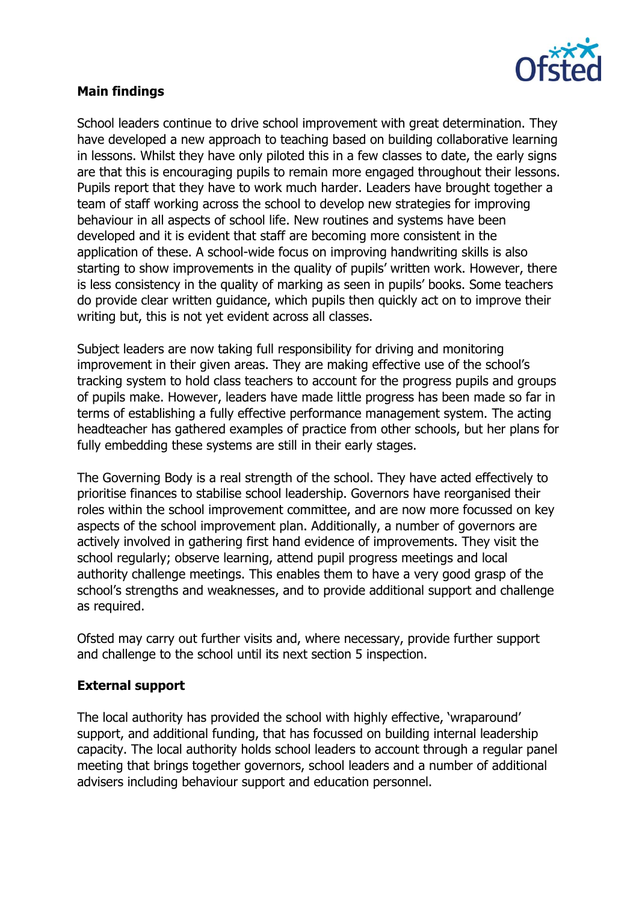

# **Main findings**

School leaders continue to drive school improvement with great determination. They have developed a new approach to teaching based on building collaborative learning in lessons. Whilst they have only piloted this in a few classes to date, the early signs are that this is encouraging pupils to remain more engaged throughout their lessons. Pupils report that they have to work much harder. Leaders have brought together a team of staff working across the school to develop new strategies for improving behaviour in all aspects of school life. New routines and systems have been developed and it is evident that staff are becoming more consistent in the application of these. A school-wide focus on improving handwriting skills is also starting to show improvements in the quality of pupils' written work. However, there is less consistency in the quality of marking as seen in pupils' books. Some teachers do provide clear written guidance, which pupils then quickly act on to improve their writing but, this is not yet evident across all classes.

Subject leaders are now taking full responsibility for driving and monitoring improvement in their given areas. They are making effective use of the school's tracking system to hold class teachers to account for the progress pupils and groups of pupils make. However, leaders have made little progress has been made so far in terms of establishing a fully effective performance management system. The acting headteacher has gathered examples of practice from other schools, but her plans for fully embedding these systems are still in their early stages.

The Governing Body is a real strength of the school. They have acted effectively to prioritise finances to stabilise school leadership. Governors have reorganised their roles within the school improvement committee, and are now more focussed on key aspects of the school improvement plan. Additionally, a number of governors are actively involved in gathering first hand evidence of improvements. They visit the school regularly; observe learning, attend pupil progress meetings and local authority challenge meetings. This enables them to have a very good grasp of the school's strengths and weaknesses, and to provide additional support and challenge as required.

Ofsted may carry out further visits and, where necessary, provide further support and challenge to the school until its next section 5 inspection.

## **External support**

The local authority has provided the school with highly effective, 'wraparound' support, and additional funding, that has focussed on building internal leadership capacity. The local authority holds school leaders to account through a regular panel meeting that brings together governors, school leaders and a number of additional advisers including behaviour support and education personnel.